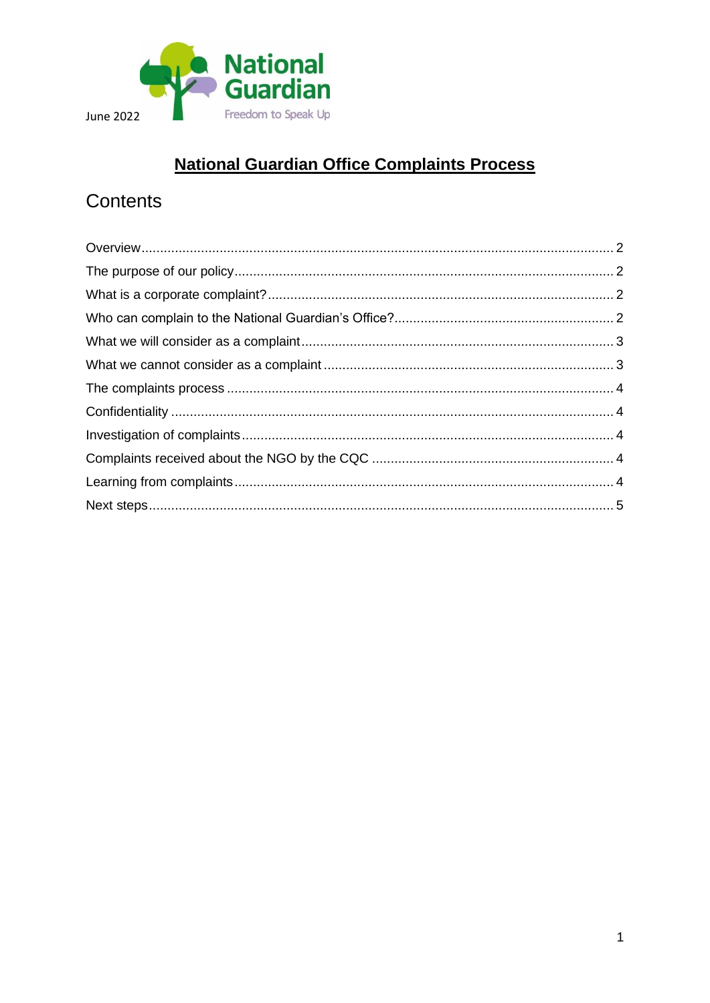

## **National Guardian Office Complaints Process**

# Contents

<span id="page-0-0"></span>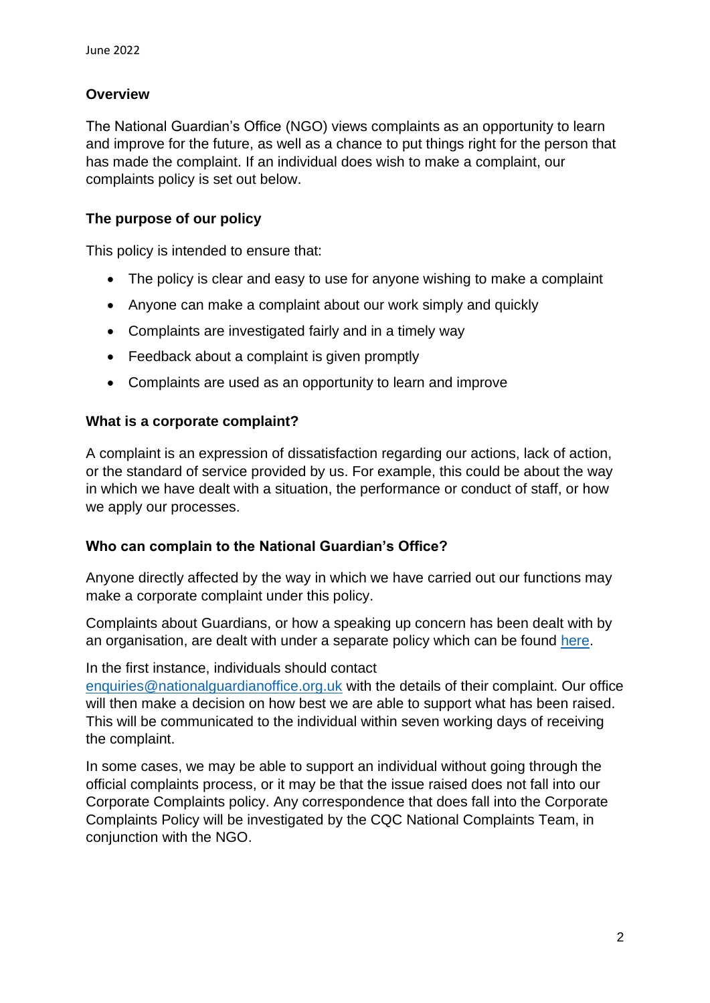## **Overview**

The National Guardian's Office (NGO) views complaints as an opportunity to learn and improve for the future, as well as a chance to put things right for the person that has made the complaint. If an individual does wish to make a complaint, our complaints policy is set out below.

## <span id="page-1-0"></span>**The purpose of our policy**

This policy is intended to ensure that:

- The policy is clear and easy to use for anyone wishing to make a complaint
- Anyone can make a complaint about our work simply and quickly
- Complaints are investigated fairly and in a timely way
- Feedback about a complaint is given promptly
- Complaints are used as an opportunity to learn and improve

#### <span id="page-1-1"></span>**What is a corporate complaint?**

A complaint is an expression of dissatisfaction regarding our actions, lack of action, or the standard of service provided by us. For example, this could be about the way in which we have dealt with a situation, the performance or conduct of staff, or how we apply our processes.

## <span id="page-1-2"></span>**Who can complain to the National Guardian's Office?**

Anyone directly affected by the way in which we have carried out our functions may make a corporate complaint under this policy.

Complaints about Guardians, or how a speaking up concern has been dealt with by an organisation, are dealt with under a separate policy which can be found [here.](https://nationalguardian.org.uk/wp-content/uploads/2021/05/How_the_NGO_deals_-complaints_about_FTSU_Guardians.pdf)

#### In the first instance, individuals should contact

[enquiries@nationalguardianoffice.org.uk](mailto:enquiries@nationalguardianoffice.org.uk) with the details of their complaint. Our office will then make a decision on how best we are able to support what has been raised. This will be communicated to the individual within seven working days of receiving the complaint.

<span id="page-1-3"></span>In some cases, we may be able to support an individual without going through the official complaints process, or it may be that the issue raised does not fall into our Corporate Complaints policy. Any correspondence that does fall into the Corporate Complaints Policy will be investigated by the CQC National Complaints Team, in conjunction with the NGO.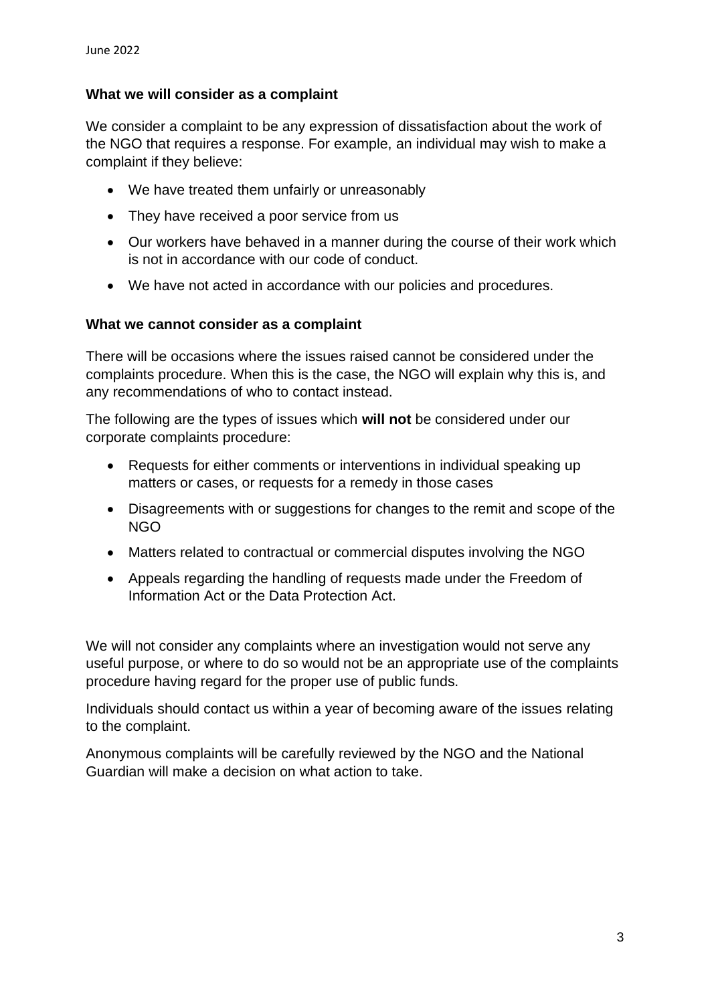#### **What we will consider as a complaint**

We consider a complaint to be any expression of dissatisfaction about the work of the NGO that requires a response. For example, an individual may wish to make a complaint if they believe:

- We have treated them unfairly or unreasonably
- They have received a poor service from us
- Our workers have behaved in a manner during the course of their work which is not in accordance with our code of conduct.
- We have not acted in accordance with our policies and procedures.

#### <span id="page-2-0"></span>**What we cannot consider as a complaint**

There will be occasions where the issues raised cannot be considered under the complaints procedure. When this is the case, the NGO will explain why this is, and any recommendations of who to contact instead.

The following are the types of issues which **will not** be considered under our corporate complaints procedure:

- Requests for either comments or interventions in individual speaking up matters or cases, or requests for a remedy in those cases
- Disagreements with or suggestions for changes to the remit and scope of the NGO
- Matters related to contractual or commercial disputes involving the NGO
- Appeals regarding the handling of requests made under the Freedom of Information Act or the Data Protection Act.

We will not consider any complaints where an investigation would not serve any useful purpose, or where to do so would not be an appropriate use of the complaints procedure having regard for the proper use of public funds.

Individuals should contact us within a year of becoming aware of the issues relating to the complaint.

Anonymous complaints will be carefully reviewed by the NGO and the National Guardian will make a decision on what action to take.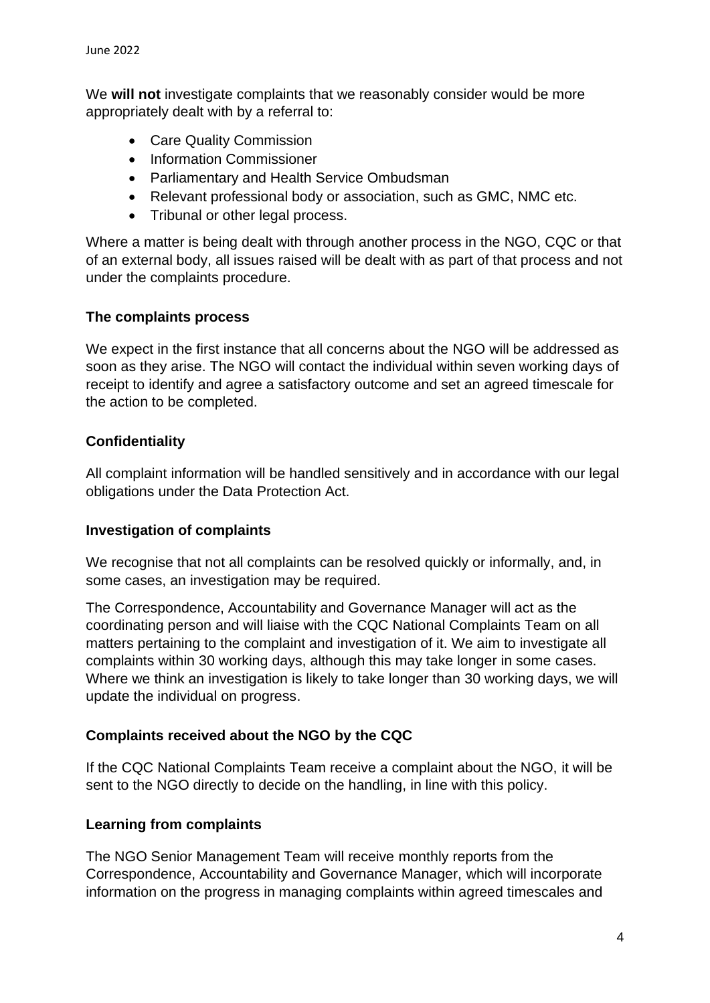We **will not** investigate complaints that we reasonably consider would be more appropriately dealt with by a referral to:

- Care Quality Commission
- Information Commissioner
- Parliamentary and Health Service Ombudsman
- Relevant professional body or association, such as GMC, NMC etc.
- Tribunal or other legal process.

Where a matter is being dealt with through another process in the NGO, CQC or that of an external body, all issues raised will be dealt with as part of that process and not under the complaints procedure.

#### <span id="page-3-0"></span>**The complaints process**

We expect in the first instance that all concerns about the NGO will be addressed as soon as they arise. The NGO will contact the individual within seven working days of receipt to identify and agree a satisfactory outcome and set an agreed timescale for the action to be completed.

#### <span id="page-3-1"></span>**Confidentiality**

All complaint information will be handled sensitively and in accordance with our legal obligations under the Data Protection Act.

#### <span id="page-3-2"></span>**Investigation of complaints**

We recognise that not all complaints can be resolved quickly or informally, and, in some cases, an investigation may be required.

The Correspondence, Accountability and Governance Manager will act as the coordinating person and will liaise with the CQC National Complaints Team on all matters pertaining to the complaint and investigation of it. We aim to investigate all complaints within 30 working days, although this may take longer in some cases. Where we think an investigation is likely to take longer than 30 working days, we will update the individual on progress.

## <span id="page-3-3"></span>**Complaints received about the NGO by the CQC**

If the CQC National Complaints Team receive a complaint about the NGO, it will be sent to the NGO directly to decide on the handling, in line with this policy.

#### <span id="page-3-4"></span>**Learning from complaints**

The NGO Senior Management Team will receive monthly reports from the Correspondence, Accountability and Governance Manager, which will incorporate information on the progress in managing complaints within agreed timescales and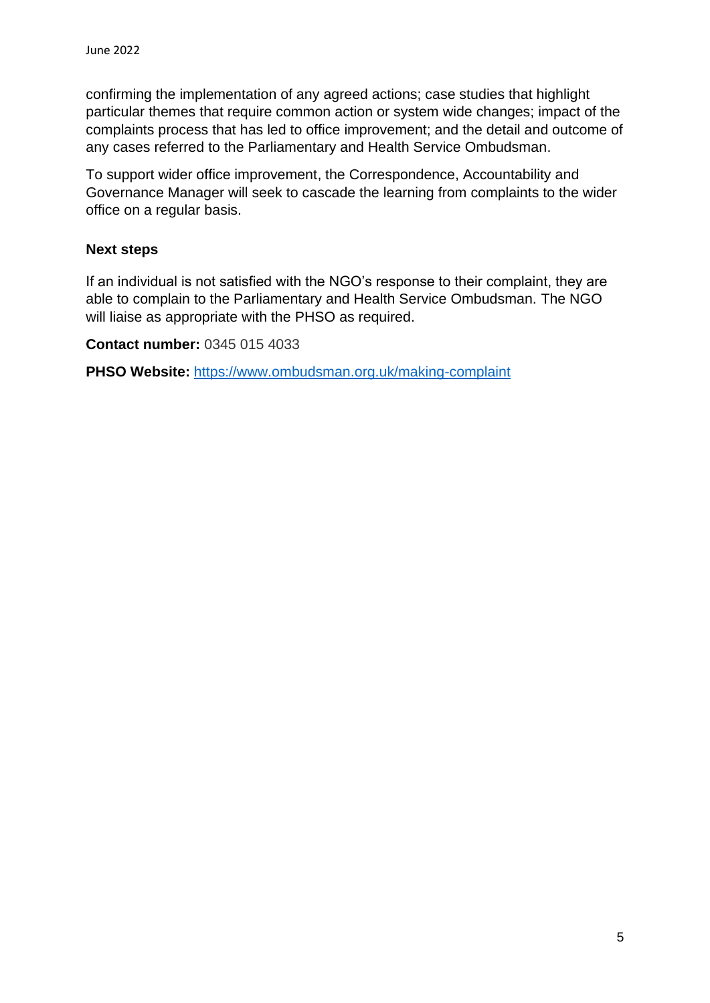confirming the implementation of any agreed actions; case studies that highlight particular themes that require common action or system wide changes; impact of the complaints process that has led to office improvement; and the detail and outcome of any cases referred to the Parliamentary and Health Service Ombudsman.

To support wider office improvement, the Correspondence, Accountability and Governance Manager will seek to cascade the learning from complaints to the wider office on a regular basis.

## <span id="page-4-0"></span>**Next steps**

If an individual is not satisfied with the NGO's response to their complaint, they are able to complain to the Parliamentary and Health Service Ombudsman. The NGO will liaise as appropriate with the PHSO as required.

**Contact number:** 0345 015 4033

**PHSO Website:** <https://www.ombudsman.org.uk/making-complaint>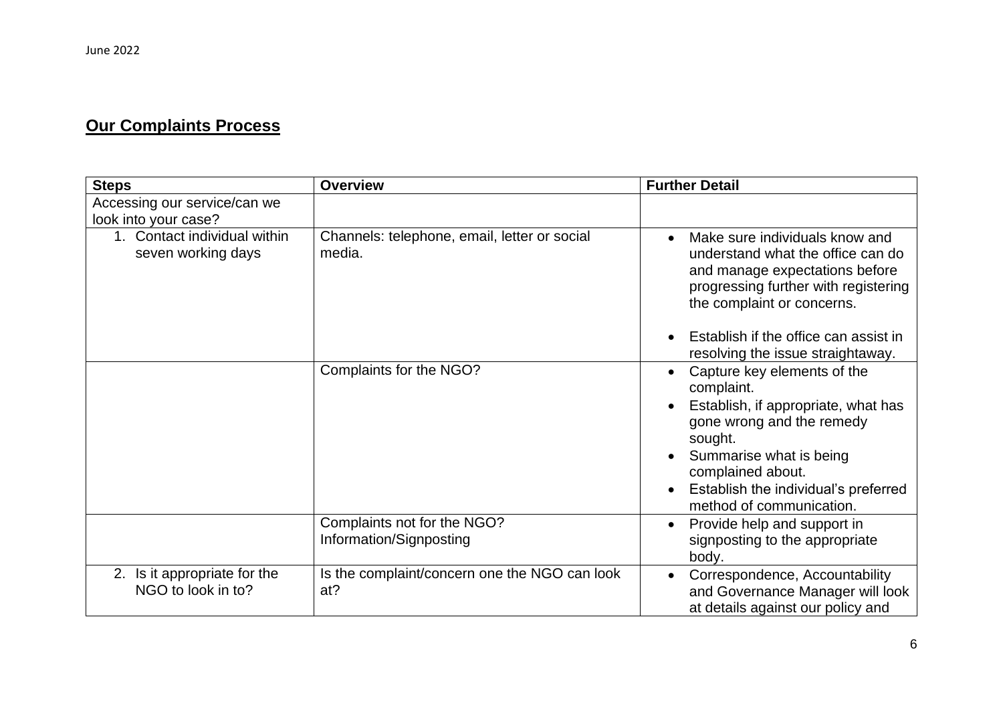## **Our Complaints Process**

| <b>Steps</b>                                       | <b>Overview</b>                                        | <b>Further Detail</b>                                                                                                                                                                                                                                                  |
|----------------------------------------------------|--------------------------------------------------------|------------------------------------------------------------------------------------------------------------------------------------------------------------------------------------------------------------------------------------------------------------------------|
| Accessing our service/can we                       |                                                        |                                                                                                                                                                                                                                                                        |
| look into your case?                               |                                                        |                                                                                                                                                                                                                                                                        |
| 1. Contact individual within<br>seven working days | Channels: telephone, email, letter or social<br>media. | Make sure individuals know and<br>$\bullet$<br>understand what the office can do<br>and manage expectations before<br>progressing further with registering<br>the complaint or concerns.                                                                               |
|                                                    |                                                        | Establish if the office can assist in<br>$\bullet$<br>resolving the issue straightaway.                                                                                                                                                                                |
|                                                    | Complaints for the NGO?                                | Capture key elements of the<br>complaint.<br>Establish, if appropriate, what has<br>gone wrong and the remedy<br>sought.<br>Summarise what is being<br>$\bullet$<br>complained about.<br>Establish the individual's preferred<br>$\bullet$<br>method of communication. |
|                                                    | Complaints not for the NGO?<br>Information/Signposting | Provide help and support in<br>signposting to the appropriate<br>body.                                                                                                                                                                                                 |
| 2. Is it appropriate for the<br>NGO to look in to? | Is the complaint/concern one the NGO can look<br>at?   | Correspondence, Accountability<br>$\bullet$<br>and Governance Manager will look<br>at details against our policy and                                                                                                                                                   |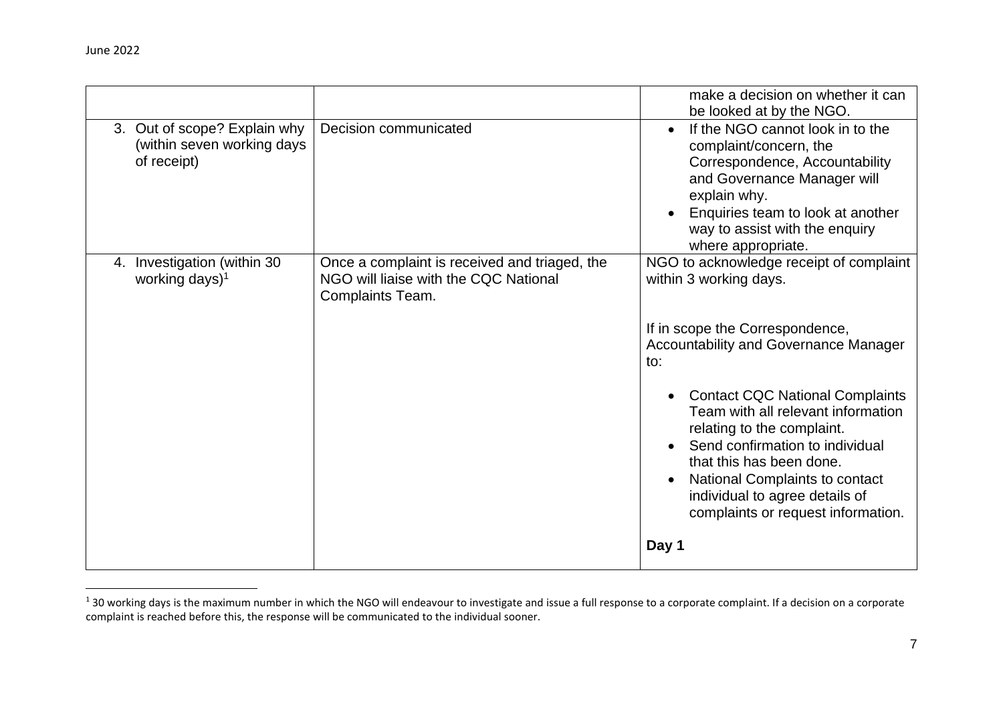|                                                                           |                                                                                                            | make a decision on whether it can<br>be looked at by the NGO.                                                                                                                                                                                                                                                                                                                                                                                      |
|---------------------------------------------------------------------------|------------------------------------------------------------------------------------------------------------|----------------------------------------------------------------------------------------------------------------------------------------------------------------------------------------------------------------------------------------------------------------------------------------------------------------------------------------------------------------------------------------------------------------------------------------------------|
| 3. Out of scope? Explain why<br>(within seven working days<br>of receipt) | Decision communicated                                                                                      | If the NGO cannot look in to the<br>$\bullet$<br>complaint/concern, the<br>Correspondence, Accountability<br>and Governance Manager will<br>explain why.<br>Enquiries team to look at another<br>way to assist with the enquiry<br>where appropriate.                                                                                                                                                                                              |
| Investigation (within 30<br>4.<br>working days) <sup>1</sup>              | Once a complaint is received and triaged, the<br>NGO will liaise with the CQC National<br>Complaints Team. | NGO to acknowledge receipt of complaint<br>within 3 working days.<br>If in scope the Correspondence,<br><b>Accountability and Governance Manager</b><br>to:<br><b>Contact CQC National Complaints</b><br>Team with all relevant information<br>relating to the complaint.<br>Send confirmation to individual<br>that this has been done.<br>National Complaints to contact<br>individual to agree details of<br>complaints or request information. |
|                                                                           |                                                                                                            | Day 1                                                                                                                                                                                                                                                                                                                                                                                                                                              |

 $1$  30 working days is the maximum number in which the NGO will endeavour to investigate and issue a full response to a corporate complaint. If a decision on a corporate complaint is reached before this, the response will be communicated to the individual sooner.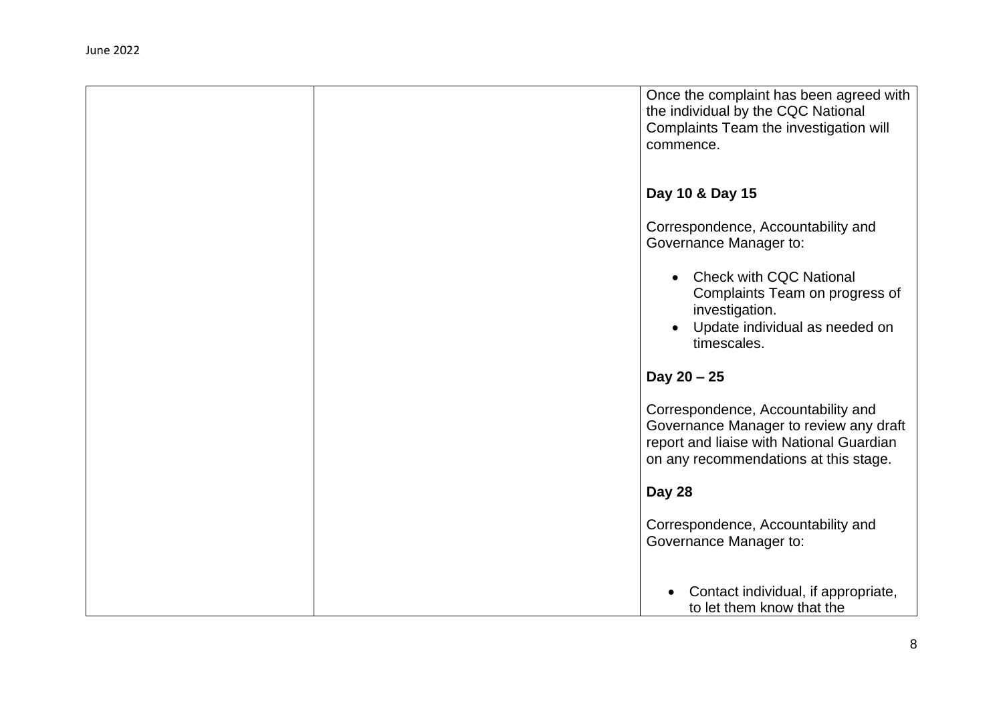|  | Once the complaint has been agreed with<br>the individual by the CQC National<br>Complaints Team the investigation will<br>commence.                              |
|--|-------------------------------------------------------------------------------------------------------------------------------------------------------------------|
|  | Day 10 & Day 15                                                                                                                                                   |
|  | Correspondence, Accountability and<br>Governance Manager to:                                                                                                      |
|  | <b>Check with CQC National</b><br>Complaints Team on progress of<br>investigation.<br>Update individual as needed on<br>timescales.                               |
|  | Day $20 - 25$                                                                                                                                                     |
|  | Correspondence, Accountability and<br>Governance Manager to review any draft<br>report and liaise with National Guardian<br>on any recommendations at this stage. |
|  | Day 28                                                                                                                                                            |
|  | Correspondence, Accountability and<br>Governance Manager to:                                                                                                      |
|  | Contact individual, if appropriate,<br>to let them know that the                                                                                                  |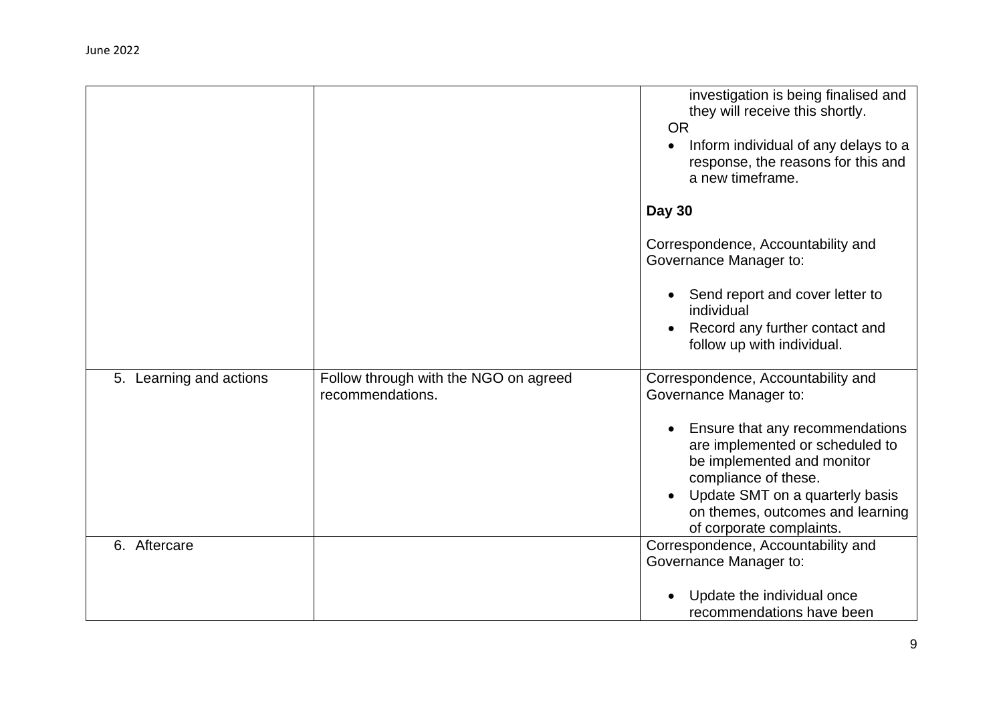|                         |                                                           | investigation is being finalised and<br>they will receive this shortly.<br><b>OR</b><br>Inform individual of any delays to a<br>response, the reasons for this and<br>a new timeframe.          |
|-------------------------|-----------------------------------------------------------|-------------------------------------------------------------------------------------------------------------------------------------------------------------------------------------------------|
|                         |                                                           | <b>Day 30</b>                                                                                                                                                                                   |
|                         |                                                           | Correspondence, Accountability and<br>Governance Manager to:                                                                                                                                    |
|                         |                                                           | Send report and cover letter to<br>individual                                                                                                                                                   |
|                         |                                                           | Record any further contact and<br>$\bullet$<br>follow up with individual.                                                                                                                       |
| 5. Learning and actions | Follow through with the NGO on agreed<br>recommendations. | Correspondence, Accountability and<br>Governance Manager to:                                                                                                                                    |
|                         |                                                           | Ensure that any recommendations<br>are implemented or scheduled to<br>be implemented and monitor<br>compliance of these.<br>Update SMT on a quarterly basis<br>on themes, outcomes and learning |
| 6. Aftercare            |                                                           | of corporate complaints.<br>Correspondence, Accountability and                                                                                                                                  |
|                         |                                                           | Governance Manager to:                                                                                                                                                                          |
|                         |                                                           | Update the individual once<br>recommendations have been                                                                                                                                         |